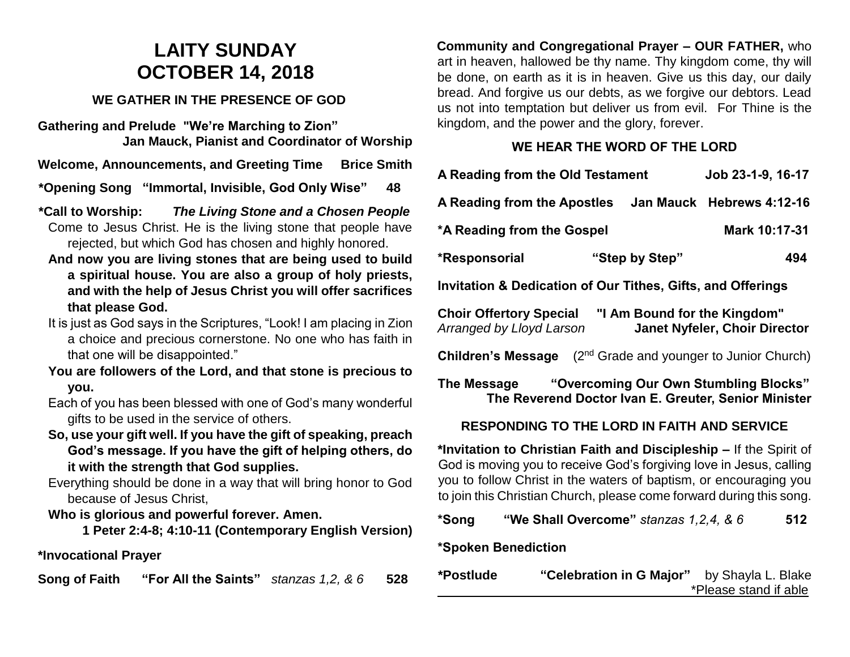# **LAITY SUNDAY OCTOBER 14, 2018**

# **WE GATHER IN THE PRESENCE OF GOD**

**Gathering and Prelude "We're Marching to Zion" Jan Mauck, Pianist and Coordinator of Worship**

**Welcome, Announcements, and Greeting Time Brice Smith** 

**\*Opening Song "Immortal, Invisible, God Only Wise" 48**

- **\*Call to Worship:** *The Living Stone and a Chosen People* Come to Jesus Christ. He is the living stone that people have rejected, but which God has chosen and highly honored.
	- **And now you are living stones that are being used to build a spiritual house. You are also a group of holy priests, and with the help of Jesus Christ you will offer sacrifices that please God.**
	- It is just as God says in the Scriptures, "Look! I am placing in Zion a choice and precious cornerstone. No one who has faith in that one will be disappointed."
	- **You are followers of the Lord, and that stone is precious to you.**
	- Each of you has been blessed with one of God's many wonderful gifts to be used in the service of others.
	- **So, use your gift well. If you have the gift of speaking, preach God's message. If you have the gift of helping others, do it with the strength that God supplies.**
	- Everything should be done in a way that will bring honor to God because of Jesus Christ,

# **Who is glorious and powerful forever. Amen.**

**1 Peter 2:4-8; 4:10-11 (Contemporary English Version)**

# **\*Invocational Prayer**

**Song of Faith "For All the Saints"** *stanzas 1,2, & 6* **528**

**Community and Congregational Prayer – OUR FATHER,** who art in heaven, hallowed be thy name. Thy kingdom come, thy will be done, on earth as it is in heaven. Give us this day, our daily bread. And forgive us our debts, as we forgive our debtors. Lead us not into temptation but deliver us from evil. For Thine is the kingdom, and the power and the glory, forever.

#### **WE HEAR THE WORD OF THE LORD**

| A Reading from the Old Testament                                                                                         |                | Job 23-1-9, 16-17 |               |
|--------------------------------------------------------------------------------------------------------------------------|----------------|-------------------|---------------|
| A Reading from the Apostles Jan Mauck Hebrews 4:12-16                                                                    |                |                   |               |
| *A Reading from the Gospel                                                                                               |                |                   | Mark 10:17-31 |
| *Responsorial                                                                                                            | "Step by Step" |                   | 494           |
| <b>Invitation &amp; Dedication of Our Tithes, Gifts, and Offerings</b>                                                   |                |                   |               |
| Choir Offertory Special "I Am Bound for the Kingdom"<br><b>Janet Nyfeler, Choir Director</b><br>Arranged by Lloyd Larson |                |                   |               |
| <b>Children's Message</b> $(2^{nd}$ Grade and younger to Junior Church)                                                  |                |                   |               |
| The Message "Overcoming Our Own Stumbling Blocks"<br>The Reverend Doctor Ivan E. Greuter, Senior Minister                |                |                   |               |
| RESPONDING TO THE LORD IN FAITH AND SERVICE                                                                              |                |                   |               |
| *Invitation to Christian Faith and Discipleship – If the Spirit of                                                       |                |                   |               |

**\*Invitation to Christian Faith and Discipleship –** If the Spirit of God is moving you to receive God's forgiving love in Jesus, calling you to follow Christ in the waters of baptism, or encouraging you to join this Christian Church, please come forward during this song.

# **\*Song "We Shall Overcome"** *stanzas 1,2,4, & 6* **512**

# **\*Spoken Benediction**

**\*Postlude "Celebration in G Major"** by Shayla L. Blake \*Please stand if able